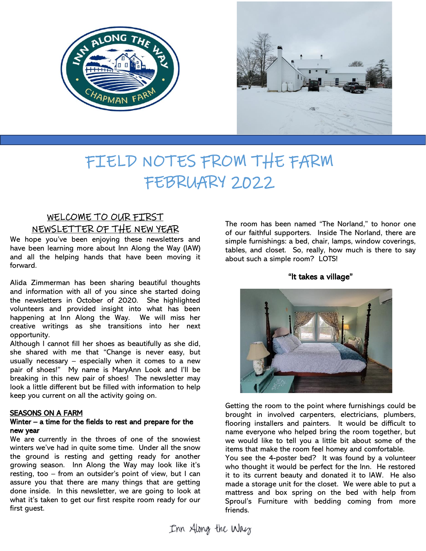



# FIELD NOTES FROM THE FARM FEBRUARY 2022

# WELCOME TO OUR FIRST NEWSLETTER OF THE NEW YEAR

We hope you've been enjoying these newsletters and have been learning more about Inn Along the Way (IAW) and all the helping hands that have been moving it forward.

Alida Zimmerman has been sharing beautiful thoughts and information with all of you since she started doing the newsletters in October of 2020. She highlighted volunteers and provided insight into what has been happening at Inn Along the Way. We will miss her creative writings as she transitions into her next opportunity.

Although I cannot fill her shoes as beautifully as she did, she shared with me that "Change is never easy, but usually necessary  $-$  especially when it comes to a new pair of shoes!" My name is MaryAnn Look and I'll be breaking in this new pair of shoes! The newsletter may look a little different but be filled with information to help keep you current on all the activity going on.

## SEASONS ON A FARM

## Winter – a time for the fields to rest and prepare for the new year

We are currently in the throes of one of the snowiest winters we've had in quite some time. Under all the snow the ground is resting and getting ready for another growing season. Inn Along the Way may look like it's resting, too – from an outsider's point of view, but I can assure you that there are many things that are getting done inside. In this newsletter, we are going to look at what it's taken to get our first respite room ready for our first guest.

The room has been named "The Norland," to honor one of our faithful supporters. Inside The Norland, there are simple furnishings: a bed, chair, lamps, window coverings, tables, and closet. So, really, how much is there to say about such a simple room? LOTS!

"It takes a village"



Getting the room to the point where furnishings could be brought in involved carpenters, electricians, plumbers, flooring installers and painters. It would be difficult to name everyone who helped bring the room together, but we would like to tell you a little bit about some of the items that make the room feel homey and comfortable.

You see the 4-poster bed? It was found by a volunteer who thought it would be perfect for the Inn. He restored it to its current beauty and donated it to IAW. He also made a storage unit for the closet. We were able to put a mattress and box spring on the bed with help from Sproul's Furniture with bedding coming from more friends.